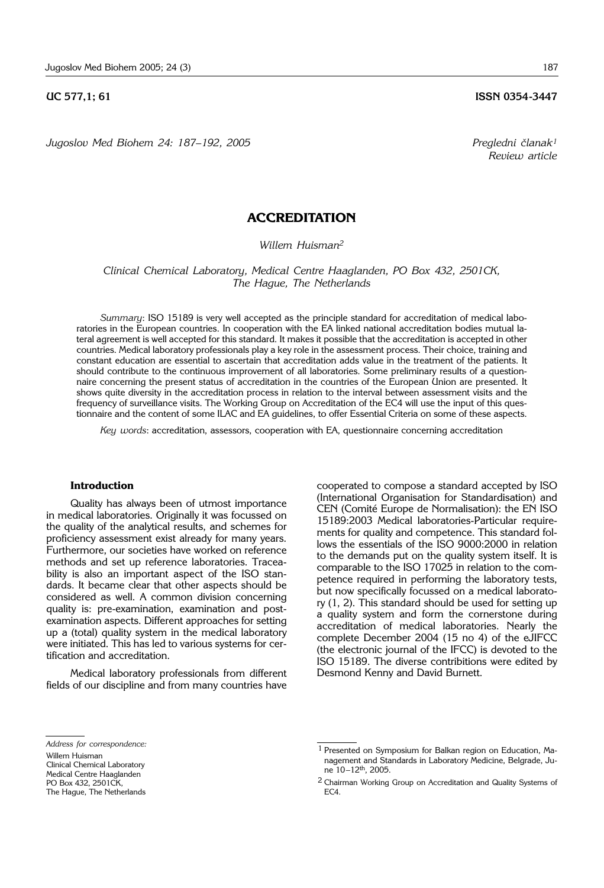*Jugoslov Med Biohem 24: 187*–*192, 2005 Pregledni ~lanak1*

*Review article*

# **ACCREDITATION**

*Willem Huisman2*

*Clinical Chemical Laboratory, Medical Centre Haaglanden, PO Box 432, 2501CK, The Hague, The Netherlands* 

*Summary*: ISO 15189 is very well accepted as the principle standard for accreditation of medical laboratories in the European countries. In cooperation with the EA linked national accreditation bodies mutual lateral agreement is well accepted for this standard. It makes it possible that the accreditation is accepted in other countries. Medical laboratory professionals play a key role in the assessment process. Their choice, training and constant education are essential to ascertain that accreditation adds value in the treatment of the patients. It should contribute to the continuous improvement of all laboratories. Some preliminary results of a questionnaire concerning the present status of accreditation in the countries of the European Union are presented. It shows quite diversity in the accreditation process in relation to the interval between assessment visits and the frequency of surveillance visits. The Working Group on Accreditation of the EC4 will use the input of this questionnaire and the content of some ILAC and EA guidelines, to offer Essential Criteria on some of these aspects.

*Key words*: accreditation, assessors, cooperation with EA, questionnaire concerning accreditation

## **Introduction**

Quality has always been of utmost importance in medical laboratories. Originally it was focussed on the quality of the analytical results, and schemes for proficiency assessment exist already for many years. Furthermore, our societies have worked on reference methods and set up reference laboratories. Traceability is also an important aspect of the ISO standards. It became clear that other aspects should be considered as well. A common division concerning quality is: pre-examination, examination and postexamination aspects. Different approaches for setting up a (total) quality system in the medical laboratory were initiated. This has led to various systems for certification and accreditation.

Medical laboratory professionals from different fields of our discipline and from many countries have

cooperated to compose a standard accepted by ISO (International Organisation for Standardisation) and CEN (Comité Europe de Normalisation): the EN ISO 15189:2003 Medical laboratories-Particular requirements for quality and competence. This standard follows the essentials of the ISO 9000:2000 in relation to the demands put on the quality system itself. It is comparable to the ISO 17025 in relation to the competence required in performing the laboratory tests, but now specifically focussed on a medical laboratory (1, 2). This standard should be used for setting up a quality system and form the cornerstone during accreditation of medical laboratories. Nearly the complete December 2004 (15 no 4) of the eJIFCC (the electronic journal of the IFCC) is devoted to the ISO 15189. The diverse contribitions were edited by Desmond Kenny and David Burnett.

*Address for correspondence:*

Willem Huisman

Clinical Chemical Laboratory

Medical Centre Haaglanden

PO Box 432, 2501CK, The Hague, The Netherlands

<sup>1</sup> Presented on Symposium for Balkan region on Education, Management and Standards in Laboratory Medicine, Belgrade, June 10–12th, 2005.

<sup>2</sup> Chairman Working Group on Accreditation and Quality Systems of EC4.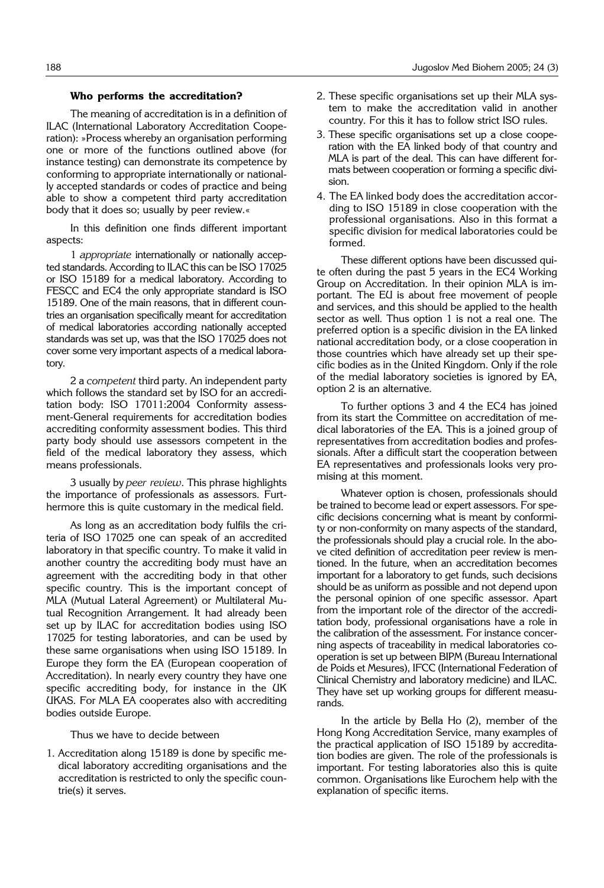### **Who performs the accreditation?**

The meaning of accreditation is in a definition of ILAC (International Laboratory Accreditation Cooperation): »Process whereby an organisation performing one or more of the functions outlined above (for instance testing) can demonstrate its competence by conforming to appropriate internationally or nationally accepted standards or codes of practice and being able to show a competent third party accreditation body that it does so; usually by peer review.«

In this definition one finds different important aspects:

1 *appropriate* internationally or nationally accepted standards. According to ILAC this can be ISO 17025 or ISO 15189 for a medical laboratory. According to FESCC and EC4 the only appropriate standard is ISO 15189. One of the main reasons, that in different countries an organisation specifically meant for accreditation of medical laboratories according nationally accepted standards was set up, was that the ISO 17025 does not cover some very important aspects of a medical laboratory.

2 a *competent* third party. An independent party which follows the standard set by ISO for an accreditation body: ISO 17011:2004 Conformity assessment-General requirements for accreditation bodies accrediting conformity assessment bodies. This third party body should use assessors competent in the field of the medical laboratory they assess, which means professionals.

3 usually by *peer review*. This phrase highlights the importance of professionals as assessors. Furthermore this is quite customary in the medical field.

As long as an accreditation body fulfils the criteria of ISO 17025 one can speak of an accredited laboratory in that specific country. To make it valid in another country the accrediting body must have an agreement with the accrediting body in that other specific country. This is the important concept of MLA (Mutual Lateral Agreement) or Multilateral Mutual Recognition Arrangement. It had already been set up by ILAC for accreditation bodies using ISO 17025 for testing laboratories, and can be used by these same organisations when using ISO 15189. In Europe they form the EA (European cooperation of Accreditation). In nearly every country they have one specific accrediting body, for instance in the UK UKAS. For MLA EA cooperates also with accrediting bodies outside Europe.

Thus we have to decide between

1. Accreditation along 15189 is done by specific medical laboratory accrediting organisations and the accreditation is restricted to only the specific countrie(s) it serves.

- 2. These specific organisations set up their MLA system to make the accreditation valid in another country. For this it has to follow strict ISO rules.
- 3. These specific organisations set up a close cooperation with the EA linked body of that country and MLA is part of the deal. This can have different formats between cooperation or forming a specific division.
- 4. The EA linked body does the accreditation according to ISO 15189 in close cooperation with the professional organisations. Also in this format a specific division for medical laboratories could be formed.

These different options have been discussed quite often during the past 5 years in the EC4 Working Group on Accreditation. In their opinion MLA is important. The EU is about free movement of people and services, and this should be applied to the health sector as well. Thus option 1 is not a real one. The preferred option is a specific division in the EA linked national accreditation body, or a close cooperation in those countries which have already set up their specific bodies as in the United Kingdom. Only if the role of the medial laboratory societies is ignored by EA, option 2 is an alternative.

To further options 3 and 4 the EC4 has joined from its start the Committee on accreditation of medical laboratories of the EA. This is a joined group of representatives from accreditation bodies and professionals. After a difficult start the cooperation between EA representatives and professionals looks very promising at this moment.

Whatever option is chosen, professionals should be trained to become lead or expert assessors. For specific decisions concerning what is meant by conformity or non-conformity on many aspects of the standard, the professionals should play a crucial role. In the above cited definition of accreditation peer review is mentioned. In the future, when an accreditation becomes important for a laboratory to get funds, such decisions should be as uniform as possible and not depend upon the personal opinion of one specific assessor. Apart from the important role of the director of the accreditation body, professional organisations have a role in the calibration of the assessment. For instance concerning aspects of traceability in medical laboratories cooperation is set up between BIPM (Bureau International de Poids et Mesures), IFCC (International Federation of Clinical Chemistry and laboratory medicine) and ILAC. They have set up working groups for different measurands.

In the article by Bella Ho (2), member of the Hong Kong Accreditation Service, many examples of the practical application of ISO 15189 by accreditation bodies are given. The role of the professionals is important. For testing laboratories also this is quite common. Organisations like Eurochem help with the explanation of specific items.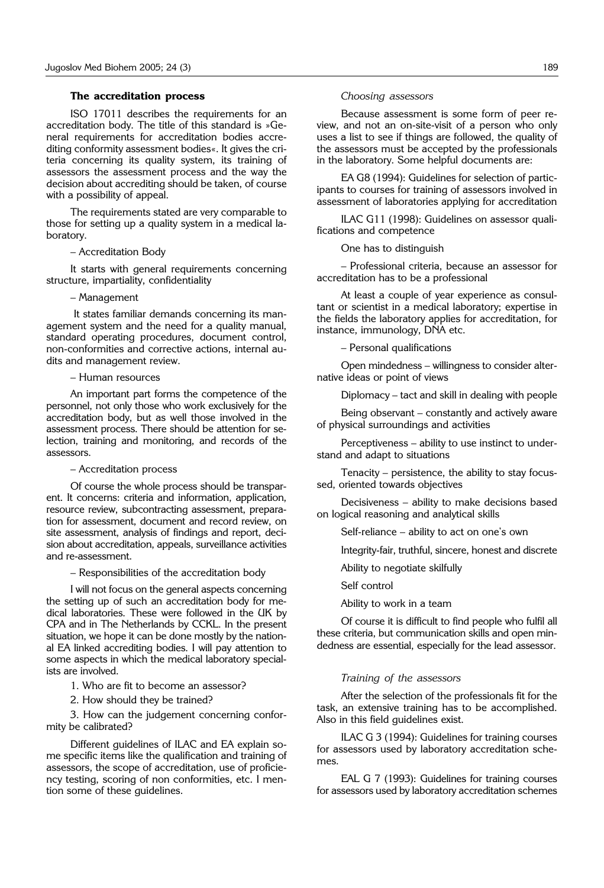#### **The accreditation process**

ISO 17011 describes the requirements for an accreditation body. The title of this standard is »General requirements for accreditation bodies accrediting conformity assessment bodies«. It gives the criteria concerning its quality system, its training of assessors the assessment process and the way the decision about accrediting should be taken, of course with a possibility of appeal.

The requirements stated are very comparable to those for setting up a quality system in a medical laboratory.

– Accreditation Body

It starts with general requirements concerning structure, impartiality, confidentiality

– Management

It states familiar demands concerning its management system and the need for a quality manual, standard operating procedures, document control, non-conformities and corrective actions, internal audits and management review.

– Human resources

An important part forms the competence of the personnel, not only those who work exclusively for the accreditation body, but as well those involved in the assessment process. There should be attention for selection, training and monitoring, and records of the assessors.

– Accreditation process

Of course the whole process should be transparent. It concerns: criteria and information, application, resource review, subcontracting assessment, preparation for assessment, document and record review, on site assessment, analysis of findings and report, decision about accreditation, appeals, surveillance activities and re-assessment.

– Responsibilities of the accreditation body

I will not focus on the general aspects concerning the setting up of such an accreditation body for medical laboratories. These were followed in the UK by CPA and in The Netherlands by CCKL. In the present situation, we hope it can be done mostly by the national EA linked accrediting bodies. I will pay attention to some aspects in which the medical laboratory specialists are involved.

1. Who are fit to become an assessor?

2. How should they be trained?

3. How can the judgement concerning conformity be calibrated?

Different guidelines of ILAC and EA explain some specific items like the qualification and training of assessors, the scope of accreditation, use of proficiency testing, scoring of non conformities, etc. I mention some of these guidelines.

#### *Choosing assessors*

Because assessment is some form of peer review, and not an on-site-visit of a person who only uses a list to see if things are followed, the quality of the assessors must be accepted by the professionals in the laboratory. Some helpful documents are:

EA G8 (1994): Guidelines for selection of participants to courses for training of assessors involved in assessment of laboratories applying for accreditation

ILAC G11 (1998): Guidelines on assessor qualifications and competence

One has to distinguish

– Professional criteria, because an assessor for accreditation has to be a professional

At least a couple of year experience as consultant or scientist in a medical laboratory; expertise in the fields the laboratory applies for accreditation, for instance, immunology, DNA etc.

– Personal qualifications

Open mindedness – willingness to consider alternative ideas or point of views

Diplomacy – tact and skill in dealing with people

Being observant – constantly and actively aware of physical surroundings and activities

Perceptiveness – ability to use instinct to understand and adapt to situations

Tenacity – persistence, the ability to stay focussed, oriented towards objectives

Decisiveness – ability to make decisions based on logical reasoning and analytical skills

Self-reliance – ability to act on one's own

Integrity-fair, truthful, sincere, honest and discrete

Ability to negotiate skilfully

Self control

Ability to work in a team

Of course it is difficult to find people who fulfil all these criteria, but communication skills and open mindedness are essential, especially for the lead assessor.

#### *Training of the assessors*

After the selection of the professionals fit for the task, an extensive training has to be accomplished. Also in this field guidelines exist.

ILAC G 3 (1994): Guidelines for training courses for assessors used by laboratory accreditation schemes.

EAL G 7 (1993): Guidelines for training courses for assessors used by laboratory accreditation schemes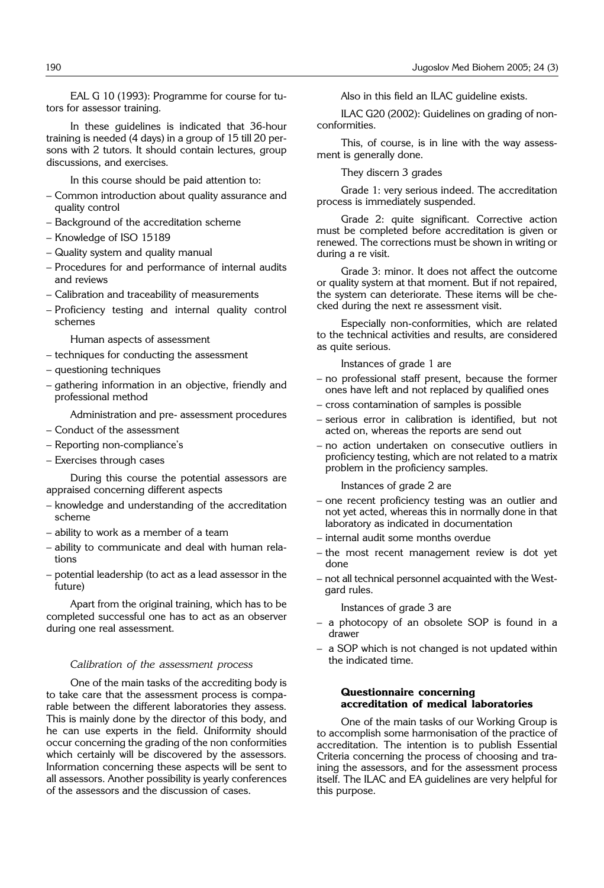EAL G 10 (1993): Programme for course for tutors for assessor training.

In these guidelines is indicated that 36-hour training is needed (4 days) in a group of 15 till 20 persons with 2 tutors. It should contain lectures, group discussions, and exercises.

In this course should be paid attention to:

- Common introduction about quality assurance and quality control
- Background of the accreditation scheme
- Knowledge of ISO 15189
- Quality system and quality manual
- Procedures for and performance of internal audits and reviews
- Calibration and traceability of measurements
- Proficiency testing and internal quality control schemes

Human aspects of assessment

- techniques for conducting the assessment
- questioning techniques
- gathering information in an objective, friendly and professional method

Administration and pre- assessment procedures

- Conduct of the assessment
- Reporting non-compliance's
- Exercises through cases

During this course the potential assessors are appraised concerning different aspects

- knowledge and understanding of the accreditation scheme
- ability to work as a member of a team
- ability to communicate and deal with human relations
- potential leadership (to act as a lead assessor in the future)

Apart from the original training, which has to be completed successful one has to act as an observer during one real assessment.

### *Calibration of the assessment process*

One of the main tasks of the accrediting body is to take care that the assessment process is comparable between the different laboratories they assess. This is mainly done by the director of this body, and he can use experts in the field. Uniformity should occur concerning the grading of the non conformities which certainly will be discovered by the assessors. Information concerning these aspects will be sent to all assessors. Another possibility is yearly conferences of the assessors and the discussion of cases.

Also in this field an ILAC guideline exists.

ILAC G20 (2002): Guidelines on grading of nonconformities.

This, of course, is in line with the way assessment is generally done.

They discern 3 grades

Grade 1: very serious indeed. The accreditation process is immediately suspended.

Grade 2: quite significant. Corrective action must be completed before accreditation is given or renewed. The corrections must be shown in writing or during a re visit.

Grade 3: minor. It does not affect the outcome or quality system at that moment. But if not repaired, the system can deteriorate. These items will be checked during the next re assessment visit.

Especially non-conformities, which are related to the technical activities and results, are considered as quite serious.

Instances of grade 1 are

- no professional staff present, because the former ones have left and not replaced by qualified ones
- cross contamination of samples is possible
- serious error in calibration is identified, but not acted on, whereas the reports are send out
- no action undertaken on consecutive outliers in proficiency testing, which are not related to a matrix problem in the proficiency samples.

Instances of grade 2 are

- one recent proficiency testing was an outlier and not yet acted, whereas this in normally done in that laboratory as indicated in documentation
- internal audit some months overdue
- the most recent management review is dot yet done
- not all technical personnel acquainted with the Westgard rules.

Instances of grade 3 are

- a photocopy of an obsolete SOP is found in a drawer
- a SOP which is not changed is not updated within the indicated time.

## **Questionnaire concerning accreditation of medical laboratories**

One of the main tasks of our Working Group is to accomplish some harmonisation of the practice of accreditation. The intention is to publish Essential Criteria concerning the process of choosing and training the assessors, and for the assessment process itself. The ILAC and EA guidelines are very helpful for this purpose.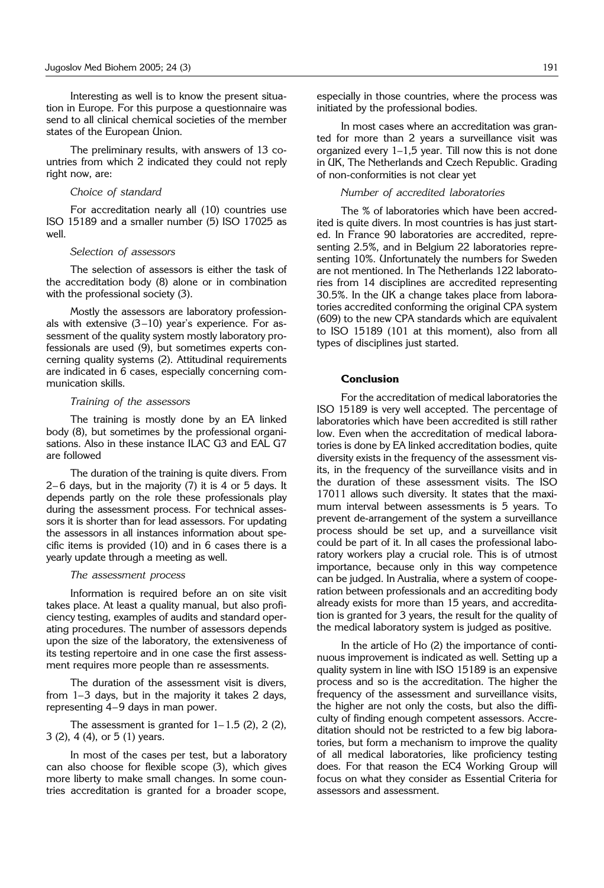Interesting as well is to know the present situation in Europe. For this purpose a questionnaire was send to all clinical chemical societies of the member states of the European Union.

The preliminary results, with answers of 13 countries from which 2 indicated they could not reply right now, are:

#### *Choice of standard*

For accreditation nearly all (10) countries use ISO 15189 and a smaller number (5) ISO 17025 as well.

#### *Selection of assessors*

The selection of assessors is either the task of the accreditation body (8) alone or in combination with the professional society (3).

Mostly the assessors are laboratory professionals with extensive (3–10) year's experience. For assessment of the quality system mostly laboratory professionals are used (9), but sometimes experts concerning quality systems (2). Attitudinal requirements are indicated in 6 cases, especially concerning communication skills.

#### *Training of the assessors*

The training is mostly done by an EA linked body (8), but sometimes by the professional organisations. Also in these instance ILAC G3 and EAL G7 are followed

The duration of the training is quite divers. From 2– 6 days, but in the majority (7) it is 4 or 5 days. It depends partly on the role these professionals play during the assessment process. For technical assessors it is shorter than for lead assessors. For updating the assessors in all instances information about specific items is provided (10) and in 6 cases there is a yearly update through a meeting as well.

#### *The assessment process*

Information is required before an on site visit takes place. At least a quality manual, but also proficiency testing, examples of audits and standard operating procedures. The number of assessors depends upon the size of the laboratory, the extensiveness of its testing repertoire and in one case the first assessment requires more people than re assessments.

The duration of the assessment visit is divers, from 1–3 days, but in the majority it takes 2 days, representing 4–9 days in man power.

The assessment is granted for  $1-1.5$  (2), 2 (2), 3 (2), 4 (4), or 5 (1) years.

In most of the cases per test, but a laboratory can also choose for flexible scope (3), which gives more liberty to make small changes. In some countries accreditation is granted for a broader scope, especially in those countries, where the process was initiated by the professional bodies.

In most cases where an accreditation was granted for more than 2 years a surveillance visit was organized every 1–1,5 year. Till now this is not done in UK, The Netherlands and Czech Republic. Grading of non-conformities is not clear yet

# *Number of accredited laboratories*

The % of laboratories which have been accredited is quite divers. In most countries is has just started. In France 90 laboratories are accredited, representing 2.5%, and in Belgium 22 laboratories representing 10%. Unfortunately the numbers for Sweden are not mentioned. In The Netherlands 122 laboratories from 14 disciplines are accredited representing 30.5%. In the UK a change takes place from laboratories accredited conforming the original CPA system (609) to the new CPA standards which are equivalent to ISO 15189 (101 at this moment), also from all types of disciplines just started.

# **Conclusion**

For the accreditation of medical laboratories the ISO 15189 is very well accepted. The percentage of laboratories which have been accredited is still rather low. Even when the accreditation of medical laboratories is done by EA linked accreditation bodies, quite diversity exists in the frequency of the assessment visits, in the frequency of the surveillance visits and in the duration of these assessment visits. The ISO 17011 allows such diversity. It states that the maximum interval between assessments is 5 years. To prevent de-arrangement of the system a surveillance process should be set up, and a surveillance visit could be part of it. In all cases the professional laboratory workers play a crucial role. This is of utmost importance, because only in this way competence can be judged. In Australia, where a system of cooperation between professionals and an accrediting body already exists for more than 15 years, and accreditation is granted for 3 years, the result for the quality of the medical laboratory system is judged as positive.

In the article of Ho (2) the importance of continuous improvement is indicated as well. Setting up a quality system in line with ISO 15189 is an expensive process and so is the accreditation. The higher the frequency of the assessment and surveillance visits, the higher are not only the costs, but also the difficulty of finding enough competent assessors. Accreditation should not be restricted to a few big laboratories, but form a mechanism to improve the quality of all medical laboratories, like proficiency testing does. For that reason the EC4 Working Group will focus on what they consider as Essential Criteria for assessors and assessment.